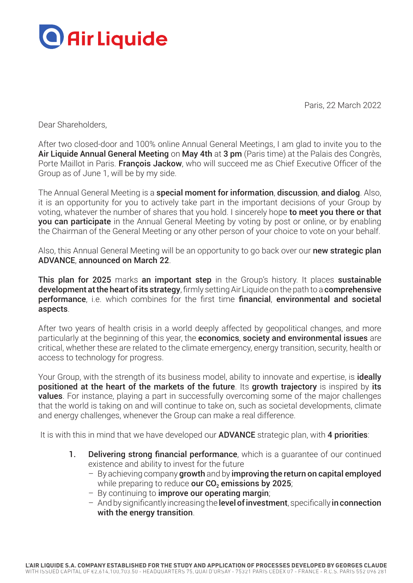

Paris, 22 March 2022

Dear Shareholders,

After two closed-door and 100% online Annual General Meetings, I am glad to invite you to the Air Liquide Annual General Meeting on May 4th at 3 pm (Paris time) at the Palais des Congrès, Porte Maillot in Paris. François Jackow, who will succeed me as Chief Executive Officer of the Group as of June 1, will be by my side.

The Annual General Meeting is a special moment for information, discussion, and dialog. Also, it is an opportunity for you to actively take part in the important decisions of your Group by voting, whatever the number of shares that you hold. I sincerely hope to meet you there or that you can participate in the Annual General Meeting by voting by post or online, or by enabling the Chairman of the General Meeting or any other person of your choice to vote on your behalf.

Also, this Annual General Meeting will be an opportunity to go back over our new strategic plan ADVANCE, announced on March 22.

This plan for 2025 marks an important step in the Group's history. It places sustainable development at the heart of its strategy, firmly setting Air Liquide on the path to a comprehensive performance, i.e. which combines for the first time financial, environmental and societal aspects.

After two years of health crisis in a world deeply affected by geopolitical changes, and more particularly at the beginning of this year, the **economics, society and environmental issues** are critical, whether these are related to the climate emergency, energy transition, security, health or access to technology for progress.

Your Group, with the strength of its business model, ability to innovate and expertise, is **ideally** positioned at the heart of the markets of the future. Its growth trajectory is inspired by its **values**. For instance, playing a part in successfully overcoming some of the major challenges that the world is taking on and will continue to take on, such as societal developments, climate and energy challenges, whenever the Group can make a real difference.

It is with this in mind that we have developed our **ADVANCE** strategic plan, with 4 priorities:

- 1. Delivering strong financial performance, which is a quarantee of our continued existence and ability to invest for the future
	- By achieving company growth and by improving the return on capital employed while preparing to reduce our  $CO<sub>2</sub>$  emissions by 2025;
	- By continuing to improve our operating margin;
	- And by significantly increasing the **level of investment**, specifically in connection with the energy transition.